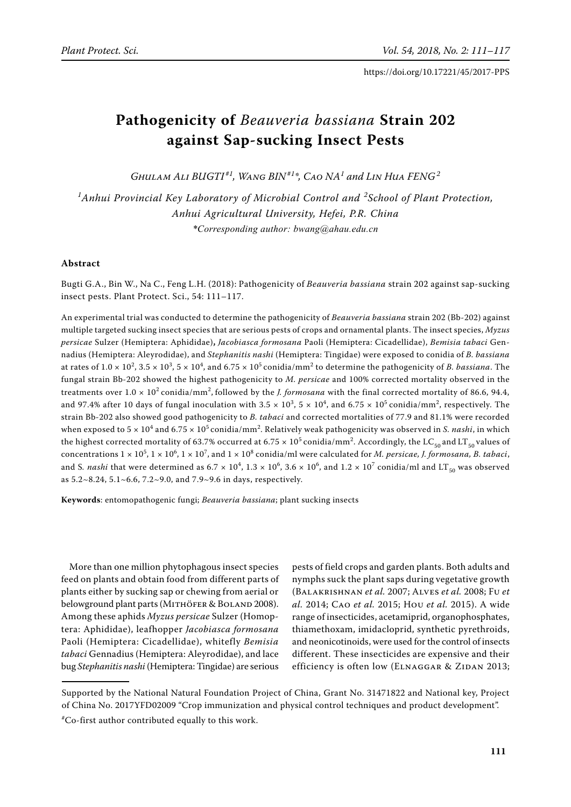# **Pathogenicity of** *Beauveria bassiana* **Strain 202 against Sap-sucking Insect Pests**

 $G$ *HULAM ALI*  $BUGTI^{*1}$ *, WANG*  $BIN^{*1*}$ *, CAO*  $NA^1$  *and LIN Hua*  $FENG^2$ 

*1 Anhui Provincial Key Laboratory of Microbial Control and <sup>2</sup> School of Plant Protection, Anhui Agricultural University, Hefei, P.R. China \*Corresponding author: bwang@ahau.edu.cn*

# **Abstract**

Bugti G.A., Bin W., Na C., Feng L.H. (2018): Pathogenicity of *Beauveria bassiana* strain 202 against sap-sucking insect pests. Plant Protect. Sci., 54: 111–117.

An experimental trial was conducted to determine the pathogenicity of *Beauveria bassiana* strain 202 (Bb-202) against multiple targeted sucking insect species that are serious pests of crops and ornamental plants. The insect species, *Myzus persicae* Sulzer (Hemiptera: Aphididae)**,** *Jacobiasca formosana* Paoli (Hemiptera: Cicadellidae), *Bemisia tabaci* Gennadius (Hemiptera: Aleyrodidae), and *Stephanitis nashi* (Hemiptera: Tingidae) were exposed to conidia of *B. bassiana*  at rates of  $1.0 \times 10^2$ ,  $3.5 \times 10^3$ ,  $5 \times 10^4$ , and  $6.75 \times 10^5$  conidia/mm<sup>2</sup> to determine the pathogenicity of *B. bassiana*. The fungal strain Bb-202 showed the highest pathogenicity to *M. persicae* and 100% corrected mortality observed in the treatments over  $1.0 \times 10^2$  conidia/mm<sup>2</sup>, followed by the *J. formosana* with the final corrected mortality of 86.6, 94.4, and 97.4% after 10 days of fungal inoculation with  $3.5 \times 10^3$ ,  $5 \times 10^4$ , and  $6.75 \times 10^5$  conidia/mm<sup>2</sup>, respectively. The strain Bb-202 also showed good pathogenicity to *B. tabaci* and corrected mortalities of 77.9 and 81.1% were recorded when exposed to 5  $\times$  10<sup>4</sup> and 6.75  $\times$  10<sup>5</sup> conidia/mm<sup>2</sup>. Relatively weak pathogenicity was observed in *S. nashi,* in which the highest corrected mortality of 63.7% occurred at 6.75  $\times$   $10^5$  conidia/mm<sup>2</sup>. Accordingly, the LC<sub>50</sub> and LT<sub>50</sub> values of concentrations  $1 \times 10^5$ ,  $1 \times 10^6$ ,  $1 \times 10^7$ , and  $1 \times 10^8$  conidia/ml were calculated for *M. persicae, J. formosana, B. tabaci*, and S. *nashi* that were determined as  $6.7 \times 10^4$ ,  $1.3 \times 10^6$ ,  $3.6 \times 10^6$ , and  $1.2 \times 10^7$  conidia/ml and  $LT_{50}$  was observed as 5.2~8.24, 5.1~6.6, 7.2~9.0, and 7.9~9.6 in days, respectively.

**Keywords**: entomopathogenic fungi; *Beauveria bassiana*; plant sucking insects

More than one million phytophagous insect species feed on plants and obtain food from different parts of plants either by sucking sap or chewing from aerial or belowground plant parts (MITHÖFER & BOLAND 2008). Among these aphids *Myzus persicae* Sulzer (Homoptera: Aphididae), leafhopper *Jacobiasca formosana*  Paoli (Hemiptera: Cicadellidae), whitefly *Bemisia tabaci* Gennadius (Hemiptera: Aleyrodidae), and lace bug *Stephanitis nashi* (Hemiptera: Tingidae) are serious

pests of field crops and garden plants. Both adults and nymphs suck the plant saps during vegetative growth (Balakrishnan *et al.* 2007; Alves *et al.* 2008; Fu *et al.* 2014; Cao *et al.* 2015; Hou *et al.* 2015). A wide range of insecticides, acetamiprid, organophosphates, thiamethoxam, imidacloprid, synthetic pyrethroids, and neonicotinoids, were used for the control of insects different. These insecticides are expensive and their efficiency is often low (ELNAGGAR & ZIDAN 2013;

Supported by the National Natural Foundation Project of China, Grant No. 31471822 and National key, Project of China No. 2017YFD02009 "Crop immunization and physical control techniques and product development".

<sup>#</sup> Co-first author contributed equally to this work.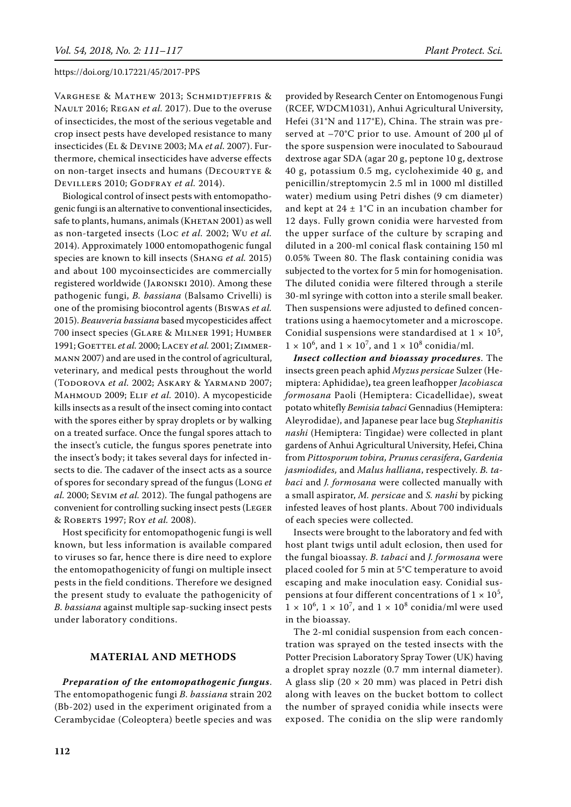Varghese & Mathew 2013; Schmidtjeffris & Nault 2016; Regan *et al.* 2017). Due to the overuse of insecticides, the most of the serious vegetable and crop insect pests have developed resistance to many insecticides (El & Devine 2003; Ma *et al.* 2007). Furthermore, chemical insecticides have adverse effects on non-target insects and humans (Decourtye & Devillers 2010; Godfray *et al.* 2014).

Biological control of insect pests with entomopathogenic fungi is an alternative to conventional insecticides, safe to plants, humans, animals (KHETAN 2001) as well as non-targeted insects (Loc *et al.* 2002; Wu *et al.* 2014). Approximately 1000 entomopathogenic fungal species are known to kill insects (Shang *et al.* 2015) and about 100 mycoinsecticides are commercially registered worldwide (Jaronski 2010). Among these pathogenic fungi, *B. bassiana* (Balsamo Crivelli) is one of the promising biocontrol agents (Biswas *et al.* 2015). *Beauveria bassiana* based mycopesticides affect 700 insect species (Glare & Milner 1991; Humber 1991; GOETTEL et al. 2000; LACEY et al. 2001; ZIMMERmann 2007) and are used in the control of agricultural, veterinary, and medical pests throughout the world (Todorova *et al.* 2002; Askary & Yarmand 2007; Mahmoud 2009; Elif *et al.* 2010). A mycopesticide kills insects as a result of the insect coming into contact with the spores either by spray droplets or by walking on a treated surface. Once the fungal spores attach to the insect's cuticle, the fungus spores penetrate into the insect's body; it takes several days for infected insects to die. The cadaver of the insect acts as a source of spores for secondary spread of the fungus (Long *et al.* 2000; Sevim *et al.* 2012). The fungal pathogens are convenient for controlling sucking insect pests (Leger & Roberts 1997; Roy *et al.* 2008).

Host specificity for entomopathogenic fungi is well known, but less information is available compared to viruses so far, hence there is dire need to explore the entomopathogenicity of fungi on multiple insect pests in the field conditions. Therefore we designed the present study to evaluate the pathogenicity of *B. bassiana* against multiple sap-sucking insect pests under laboratory conditions.

## **MATERIAL AND METHODS**

*Preparation of the entomopathogenic fungus*. The entomopathogenic fungi *B. bassiana* strain 202 (Bb-202) used in the experiment originated from a Cerambycidae (Coleoptera) beetle species and was

provided by Research Center on Entomogenous Fungi (RCEF, WDCM1031), Anhui Agricultural University, Hefei (31°N and 117°E), China. The strain was preserved at –70°C prior to use. Amount of 200 µl of the spore suspension were inoculated to Sabouraud dextrose agar SDA (agar 20 g, peptone 10 g, dextrose 40 g, potassium 0.5 mg, cycloheximide 40 g, and penicillin/streptomycin 2.5 ml in 1000 ml distilled water) medium using Petri dishes (9 cm diameter) and kept at  $24 \pm 1$ °C in an incubation chamber for 12 days. Fully grown conidia were harvested from the upper surface of the culture by scraping and diluted in a 200-ml conical flask containing 150 ml 0.05% Tween 80. The flask containing conidia was subjected to the vortex for 5 min for homogenisation. The diluted conidia were filtered through a sterile 30-ml syringe with cotton into a sterile small beaker. Then suspensions were adjusted to defined concentrations using a haemocytometer and a microscope. Conidial suspensions were standardised at  $1 \times 10^5$ ,  $1 \times 10^6$ , and  $1 \times 10^7$ , and  $1 \times 10^8$  conidia/ml.

*Insect collection and bioassay procedures*. The insects green peach aphid *Myzus persicae* Sulzer (Hemiptera: Aphididae)**,** tea green leafhopper *Jacobiasca formosana* Paoli (Hemiptera: Cicadellidae), sweat potato whitefly *Bemisia tabaci* Gennadius (Hemiptera: Aleyrodidae), and Japanese pear lace bug *Stephanitis nashi* (Hemiptera: Tingidae) were collected in plant gardens of Anhui Agricultural University, Hefei, China from *Pittosporum tobira, Prunus cerasifera*, *Gardenia jasmiodides,* and *Malus halliana*, respectively. *B. tabaci* and *J. formosana* were collected manually with a small aspirator, *M. persicae* and *S. nashi* by picking infested leaves of host plants. About 700 individuals of each species were collected.

Insects were brought to the laboratory and fed with host plant twigs until adult eclosion, then used for the fungal bioassay. *B. tabaci* and *J. formosana* were placed cooled for 5 min at 5°C temperature to avoid escaping and make inoculation easy. Conidial suspensions at four different concentrations of  $1 \times 10^5$ ,  $1 \times 10^6$ ,  $1 \times 10^7$ , and  $1 \times 10^8$  conidia/ml were used in the bioassay.

The 2-ml conidial suspension from each concentration was sprayed on the tested insects with the Potter Precision Laboratory Spray Tower (UK) having a droplet spray nozzle (0.7 mm internal diameter). A glass slip  $(20 \times 20 \text{ mm})$  was placed in Petri dish along with leaves on the bucket bottom to collect the number of sprayed conidia while insects were exposed. The conidia on the slip were randomly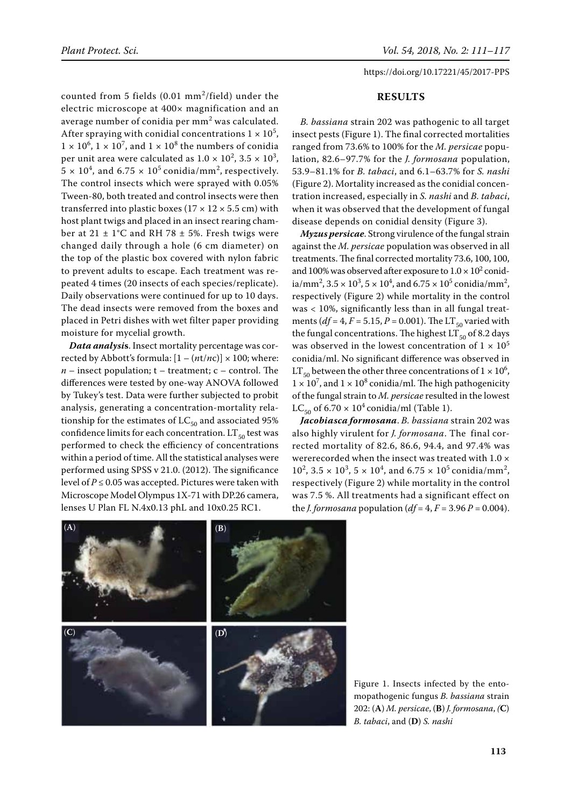counted from 5 fields  $(0.01 \text{ mm}^2/\text{field})$  under the electric microscope at 400× magnification and an average number of conidia per  $mm<sup>2</sup>$  was calculated. After spraying with conidial concentrations  $1 \times 10^5$ ,  $1 \times 10^6$ ,  $1 \times 10^7$ , and  $1 \times 10^8$  the numbers of conidia per unit area were calculated as  $1.0 \times 10^2$ ,  $3.5 \times 10^3$ ,  $5 \times 10^4$ , and  $6.75 \times 10^5$  conidia/mm<sup>2</sup>, respectively. The control insects which were sprayed with 0.05% Tween-80, both treated and control insects were then transferred into plastic boxes ( $17 \times 12 \times 5.5$  cm) with host plant twigs and placed in an insect rearing chamber at  $21 \pm 1$ °C and RH 78  $\pm$  5%. Fresh twigs were changed daily through a hole (6 cm diameter) on the top of the plastic box covered with nylon fabric to prevent adults to escape. Each treatment was repeated 4 times (20 insects of each species/replicate). Daily observations were continued for up to 10 days. The dead insects were removed from the boxes and placed in Petri dishes with wet filter paper providing moisture for mycelial growth.

*Data analysi***s**. Insect mortality percentage was corrected by Abbott's formula:  $[1 - (nt/nc)] \times 100$ ; where:  $n$  – insect population;  $t$  – treatment;  $c$  – control. The differences were tested by one-way ANOVA followed by Tukey's test. Data were further subjected to probit analysis, generating a concentration-mortality relationship for the estimates of  $LC_{50}$  and associated 95% confidence limits for each concentration.  $LT_{50}$  test was performed to check the efficiency of concentrations within a period of time. All the statistical analyses were performed using SPSS v 21.0. (2012). The significance level of *P* ≤ 0.05 was accepted. Pictures were taken with Microscope Model Olympus 1X-71 with DP.26 camera, lenses U Plan FL N.4x0.13 phL and 10x0.25 RC1.

## **RESULTS**

*B. bassiana* strain 202 was pathogenic to all target insect pests (Figure 1). The final corrected mortalities ranged from 73.6% to 100% for the *M. persicae* population, 82.6–97.7% for the *J. formosana* population, 53.9–81.1% for *B. tabaci*, and 6.1–63.7% for *S. nashi* (Figure 2). Mortality increased as the conidial concentration increased, especially in *S. nashi* and *B. tabaci*, when it was observed that the development of fungal disease depends on conidial density (Figure 3).

*Myzus persicae*. Strong virulence of the fungal strain against the *M. persicae* population was observed in all treatments. The final corrected mortality 73.6, 100, 100, and 100% was observed after exposure to  $1.0 \times 10^2$  conidia/mm<sup>2</sup>,  $3.5 \times 10^3$ ,  $5 \times 10^4$ , and  $6.75 \times 10^5$  conidia/mm<sup>2</sup>, respectively (Figure 2) while mortality in the control was < 10%, significantly less than in all fungal treatments ( $df = 4$ ,  $F = 5.15$ ,  $P = 0.001$ ). The LT<sub>50</sub> varied with the fungal concentrations. The highest  $LT_{50}$  of 8.2 days was observed in the lowest concentration of  $1 \times 10^5$ conidia/ml. No significant difference was observed in LT<sub>50</sub> between the other three concentrations of  $1 \times 10^6$ ,  $1 \times 10^7$ , and  $1 \times 10^8$  conidia/ml. The high pathogenicity of the fungal strain to *M. persicae* resulted in the lowest LC<sub>50</sub> of 6.70  $\times$  10<sup>4</sup> conidia/ml (Table 1).

*Jacobiasca formosana*. *B. bassiana* strain 202 was also highly virulent for *J. formosana*. The final corrected mortality of 82.6, 86.6, 94.4, and 97.4% was wererecorded when the insect was treated with 1.0 ×  $10^2$ ,  $3.5 \times 10^3$ ,  $5 \times 10^4$ , and  $6.75 \times 10^5$  conidia/mm<sup>2</sup>, respectively (Figure 2) while mortality in the control was 7.5 %. All treatments had a significant effect on the *J. formosana* population  $(df = 4, F = 3.96 P = 0.004)$ .



Figure 1. Insects infected by the entomopathogenic fungus *B. bassiana* strain 202: (**A**) *M. persicae*, (**B**) *J. formosana*, *(***C**) *B. tabaci*, and (**D**) *S. nashi*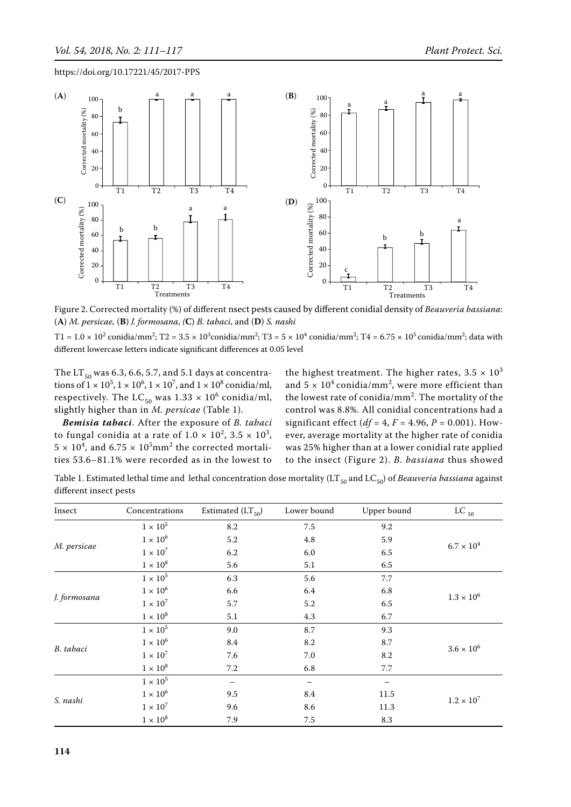

Figure 2. Corrected mortality (%) of different nsect pests caused by different conidial density of *Beauveria bassiana*: (**A**) *M. persicae,* (**B**) *J. formosana*, *(***C**) *B. tabaci*, and (**D**) *S. nashi*

T1 =  $1.0 \times 10^2$  conidia/mm<sup>2</sup>; T2 =  $3.5 \times 10^3$ conidia/mm<sup>2</sup>; T3 =  $5 \times 10^4$  conidia/mm<sup>2</sup>; T4 =  $6.75 \times 10^5$  conidia/mm<sup>2</sup>; data with different lowercase letters indicate significant differences at 0.05 level

The  $LT_{50}$  was 6.3, 6.6, 5.7, and 5.1 days at concentrations of  $1 \times 10^5$ ,  $1 \times 10^6$ ,  $1 \times 10^7$ , and  $1 \times 10^8$  conidia/ml, respectively. The  $\mathop{\rm LC}\nolimits_{50}$  was  $1.33 \times 10^6$  conidia/ml, slightly higher than in *M. persicae* (Table 1).

*Bemisia tabaci*. After the exposure of *B. tabaci* to fungal conidia at a rate of  $1.0 \times 10^2$ ,  $3.5 \times 10^3$ ,  $5 \times 10^4$ , and  $6.75 \times 10^5$ mm<sup>2</sup> the corrected mortalities 53.6–81.1% were recorded as in the lowest to

the highest treatment. The higher rates,  $3.5 \times 10^3$ and  $5 \times 10^4$  conidia/mm<sup>2</sup>, were more efficient than the lowest rate of conidia/mm<sup>2</sup>. The mortality of the control was 8.8%. All conidial concentrations had a significant effect ( $df = 4$ ,  $F = 4.96$ ,  $P = 0.001$ ). However, average mortality at the higher rate of conidia was 25% higher than at a lower conidial rate applied to the insect (Figure 2). *B. bassiana* thus showed

Table 1. Estimated lethal time and lethal concentration dose mortality (LT<sub>50</sub> and LC<sub>50</sub>) of *Beauveria bassiana* against different insect pests

| Insect       | Concentrations  | Estimated $(LT_{50})$ | Lower bound | Upper bound | LC $_{50}$          |
|--------------|-----------------|-----------------------|-------------|-------------|---------------------|
| M. persicae  | $1 \times 10^5$ | 8.2                   | 7.5         | 9.2         | $6.7\times10^4$     |
|              | $1\times10^6$   | 5.2                   | 4.8         | 5.9         |                     |
|              | $1\times10^7$   | 6.2                   | 6.0         | 6.5         |                     |
|              | $1\times10^8$   | 5.6                   | 5.1         | 6.5         |                     |
| J. formosana | $1\times10^5$   | 6.3                   | 5.6         | 7.7         | $1.3 \times 10^{6}$ |
|              | $1\times10^6$   | 6.6                   | 6.4         | 6.8         |                     |
|              | $1\times10^7$   | 5.7                   | 5.2         | 6.5         |                     |
|              | $1\times10^8$   | 5.1                   | 4.3         | 6.7         |                     |
| B. tabaci    | $1\times10^5$   | 9.0                   | 8.7         | 9.3         | $3.6\times10^6$     |
|              | $1\times10^6$   | 8.4                   | 8.2         | 8.7         |                     |
|              | $1 \times 10^7$ | 7.6                   | 7.0         | 8.2         |                     |
|              | $1 \times 10^8$ | 7.2                   | 6.8         | 7.7         |                     |
| S. nashi     | $1\times10^5$   |                       |             |             | $1.2 \times 10^{7}$ |
|              | $1\times10^6$   | 9.5                   | 8.4         | 11.5        |                     |
|              | $1 \times 10^7$ | 9.6                   | 8.6         | 11.3        |                     |
|              | $1 \times 10^8$ | 7.9                   | 7.5         | 8.3         |                     |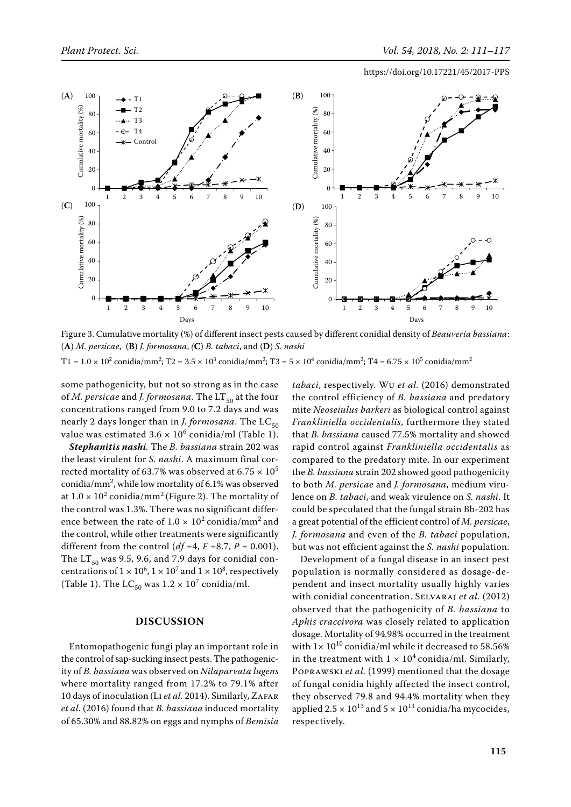

Figure 3. Cumulative mortality (%) of different insect pests caused by different conidial density of *Beauveria bassiana*: (**A**) *M. persicae*,(**B**) *J. formosana*, *(***C**) *B. tabaci*, and (**D**) *S. nashi*

T1 =  $1.0 \times 10^2$  conidia/mm<sup>2</sup>; T2 =  $3.5 \times 10^3$  conidia/mm<sup>2</sup>; T3 =  $5 \times 10^4$  conidia/mm<sup>2</sup>; T4 =  $6.75 \times 10^5$  conidia/mm<sup>2</sup>

some pathogenicity, but not so strong as in the case of *M. persicae* and *J. formosana*. The LT<sub>50</sub> at the four concentrations ranged from 9.0 to 7.2 days and was nearly 2 days longer than in *J. formosana*. The  $LC_{50}$ value was estimated  $3.6 \times 10^6$  conidia/ml (Table 1).

*Stephanitis nashi.* The *B. bassiana* strain 202 was the least virulent for *S. nashi*. A maximum final corrected mortality of 63.7% was observed at 6.75  $\times$  10<sup>5</sup> conidia/ $mm^2$ , while low mortality of 6.1% was observed at  $1.0 \times 10^2$  conidia/mm<sup>2</sup> (Figure 2). The mortality of the control was 1.3%. There was no significant difference between the rate of  $1.0 \times 10^2$  conidia/mm<sup>2</sup> and the control, while other treatments were significantly different from the control ( $df = 4$ ,  $F = 8.7$ ,  $P = 0.001$ ). The  $LT_{50}$  was 9.5, 9.6, and 7.9 days for conidial concentrations of  $1 \times 10^6$ ,  $1 \times 10^7$  and  $1 \times 10^8$ , respectively (Table 1). The  $LC_{50}$  was  $1.2 \times 10^7$  conidia/ml.

## **DISCUSSION**

Entomopathogenic fungi play an important role in the control of sap-sucking insect pests. The pathogenicity of *B. bassiana* was observed on *Nilaparvata lugens* where mortality ranged from 17.2% to 79.1% after 10 days of inoculation (Li *et al.* 2014). Similarly, Zafar *et al.* (2016) found that *B. bassiana* induced mortality of 65.30% and 88.82% on eggs and nymphs of *Bemisia*  *tabaci*, respectively. Wu *et al.* (2016) demonstrated the control efficiency of *B. bassiana* and predatory mite *Neoseiulus barkeri* as biological control against *Frankliniella occidentalis*, furthermore they stated that *B. bassiana* caused 77.5% mortality and showed rapid control against *Frankliniella occidentalis* as compared to the predatory mite. In our experiment the *B. bassiana* strain 202 showed good pathogenicity to both *M. persicae* and *J. formosana*, medium virulence on *B. tabaci*, and weak virulence on *S. nashi*. It could be speculated that the fungal strain Bb-202 has a great potential of the efficient control of *M. persicae*, *J. formosana* and even of the *B. tabaci* population, but was not efficient against the *S. nashi* population.

Development of a fungal disease in an insect pest population is normally considered as dosage-dependent and insect mortality usually highly varies with conidial concentration. Selvaraj *et al.* (2012) observed that the pathogenicity of *B. bassiana* to *Aphis craccivora* was closely related to application dosage. Mortality of 94.98% occurred in the treatment with  $1 \times 10^{10}$  conidia/ml while it decreased to 58.56% in the treatment with  $1 \times 10^4$  conidia/ml. Similarly, Poprawski *et al.* (1999) mentioned that the dosage of fungal conidia highly affected the insect control, they observed 79.8 and 94.4% mortality when they applied  $2.5 \times 10^{13}$  and  $5 \times 10^{13}$  conidia/ha mycocides, respectively.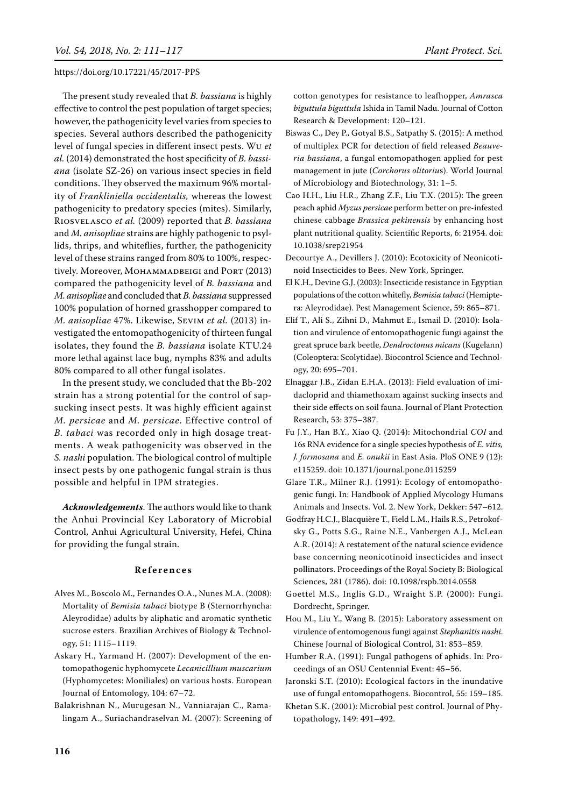The present study revealed that *B. bassiana* is highly effective to control the pest population of target species; however, the pathogenicity level varies from species to species. Several authors described the pathogenicity level of fungal species in different insect pests. Wu *et al.* (2014) demonstrated the host specificity of *B. bassiana* (isolate SZ-26) on various insect species in field conditions. They observed the maximum 96% mortality of *Frankliniella occidentalis,* whereas the lowest pathogenicity to predatory species (mites). Similarly, Riosvelasco *et al.* (2009) reported that *B. bassiana*  and *M. anisopliae* strains are highly pathogenic to psyllids, thrips, and whiteflies, further, the pathogenicity level of these strains ranged from 80% to 100%, respectively. Moreover, MOHAMMADBEIGI and PORT (2013) compared the pathogenicity level of *B. bassiana* and *M. anisopliae* and concluded that *B. bassiana* suppressed 100% population of horned grasshopper compared to *M. anisopliae* 47%. Likewise, Sevim *et al.* (2013) investigated the entomopathogenicity of thirteen fungal isolates, they found the *B. bassiana* isolate KTU.24 more lethal against lace bug, nymphs 83% and adults 80% compared to all other fungal isolates.

In the present study, we concluded that the Bb-202 strain has a strong potential for the control of sapsucking insect pests. It was highly efficient against *M. persicae* and *M. persicae*. Effective control of *B. tabaci* was recorded only in high dosage treatments. A weak pathogenicity was observed in the *S. nashi* population. The biological control of multiple insect pests by one pathogenic fungal strain is thus possible and helpful in IPM strategies.

*Acknowledgements*. The authors would like to thank the Anhui Provincial Key Laboratory of Microbial Control, Anhui Agricultural University, Hefei, China for providing the fungal strain.

## **R e f e r e n c e s**

- Alves M., Boscolo M., Fernandes O.A., Nunes M.A. (2008): Mortality of *Bemisia tabaci* biotype B (Sternorrhyncha: Aleyrodidae) adults by aliphatic and aromatic synthetic sucrose esters. Brazilian Archives of Biology & Technology, 51: 1115–1119.
- Askary H., Yarmand H. (2007): Development of the entomopathogenic hyphomycete *Lecanicillium muscarium* (Hyphomycetes: Moniliales) on various hosts. European Journal of Entomology, 104: 67–72.
- Balakrishnan N., Murugesan N., Vanniarajan C., Ramalingam A., Suriachandraselvan M. (2007): Screening of

cotton genotypes for resistance to leafhopper, *Amrasca biguttula biguttula* Ishida in Tamil Nadu. Journal of Cotton Research & Development: 120–121.

- Biswas C., Dey P., Gotyal B.S., Satpathy S. (2015): A method of multiplex pcr for detection of field released *Beauveria bassiana*, a fungal entomopathogen applied for pest management in jute (*Corchorus olitoriu*s). World Journal of Microbiology and Biotechnology, 31: 1–5.
- Cao H.H., Liu H.R., Zhang Z.F., Liu T.X. (2015): The green peach aphid *Myzus persicae* perform better on pre-infested chinese cabbage *Brassica pekinensis* by enhancing host plant nutritional quality. Scientific Reports, 6: 21954. doi: 10.1038/srep21954
- Decourtye A., Devillers J. (2010): Ecotoxicity of Neonicotinoid Insecticides to Bees. New York, Springer.
- El K.H., Devine G.J. (2003): Insecticide resistance in Egyptian populations of the cotton whitefly, *Bemisia tabaci* (Hemiptera: Aleyrodidae). Pest Management Science, 59: 865–871.
- Elif T., Ali S., Zihni D., Mahmut E., Ismail D. (2010): Isolation and virulence of entomopathogenic fungi against the great spruce bark beetle, *Dendroctonus micans* (Kugelann) (Coleoptera: Scolytidae). Biocontrol Science and Technology, 20: 695–701.
- Elnaggar J.B., Zidan E.H.A. (2013): Field evaluation of imidacloprid and thiamethoxam against sucking insects and their side effects on soil fauna. Journal of Plant Protection Research, 53: 375–387.
- Fu J.Y., Han B.Y., Xiao Q. (2014): Mitochondrial *coi* and 16s RNA evidence for a single species hypothesis of *E. vitis, J. formosana* and *E. onukii* in East Asia. PloS ONE 9 (12): e115259. doi: 10.1371/journal.pone.0115259
- Glare T.R., Milner R.J. (1991): Ecology of entomopathogenic fungi. In: Handbook of Applied Mycology Humans Animals and Insects. Vol. 2. New York, Dekker: 547–612.
- Godfray H.C.J., Blacquière T., Field L.M., Hails R.S., Petrokofsky G., Potts S.G., Raine N.E., Vanbergen A.J., McLean A.R. (2014): A restatement of the natural science evidence base concerning neonicotinoid insecticides and insect pollinators. Proceedings of the Royal Society B: Biological Sciences, 281 (1786). doi: 10.1098/rspb.2014.0558
- Goettel M.S., Inglis G.D., Wraight S.P. (2000): Fungi. Dordrecht, Springer.
- Hou M., Liu Y., Wang B. (2015): Laboratory assessment on virulence of entomogenous fungi against *Stephanitis nashi*. Chinese Journal of Biological Control, 31: 853–859.
- Humber R.A. (1991): Fungal pathogens of aphids. In: Proceedings of an Osu Centennial Event: 45–56.
- Jaronski S.T. (2010): Ecological factors in the inundative use of fungal entomopathogens. Biocontrol, 55: 159–185.
- Khetan S.K. (2001): Microbial pest control. Journal of Phytopathology, 149: 491–492.